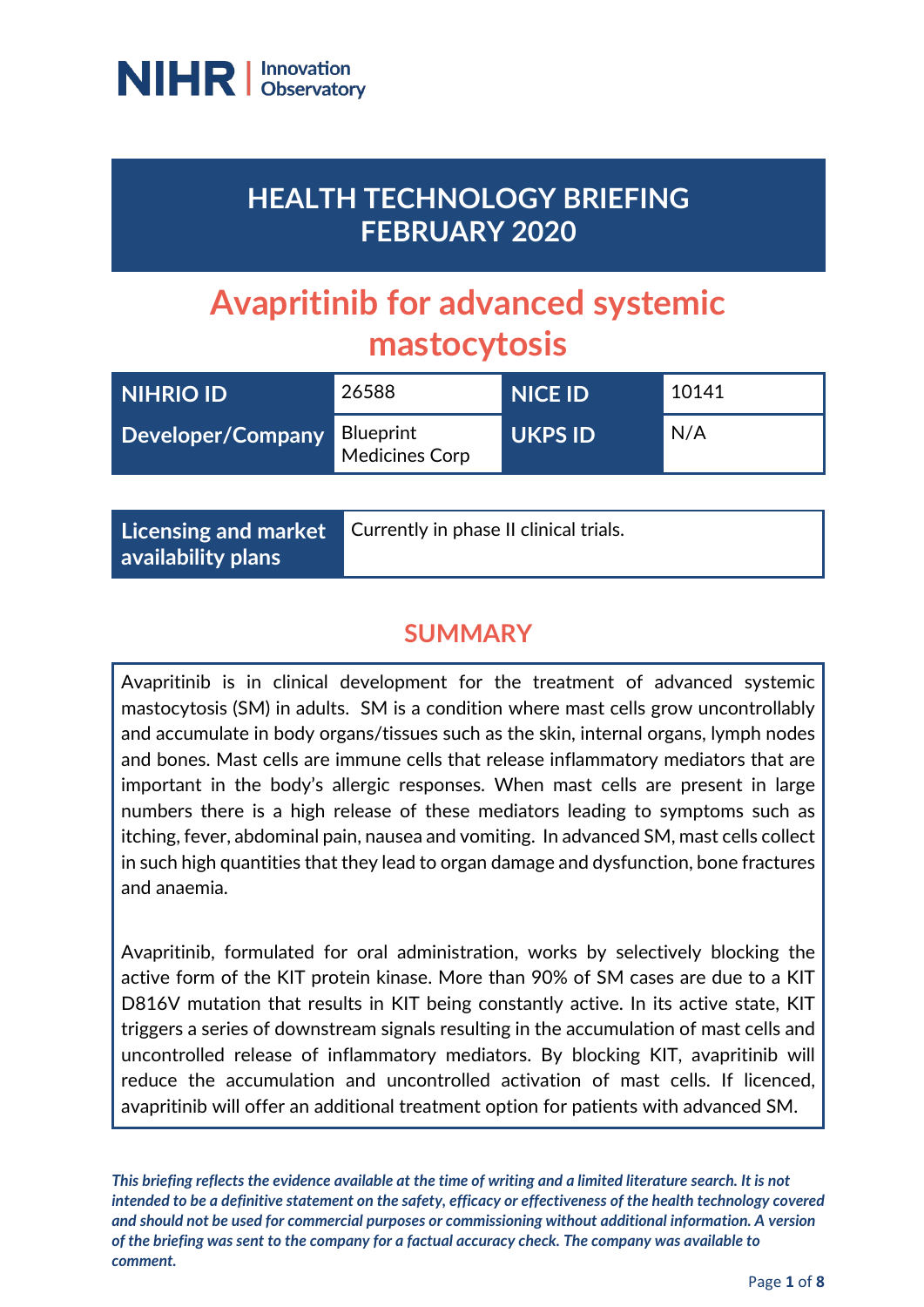

## **HEALTH TECHNOLOGY BRIEFING FEBRUARY 2020**

# **Avapritinib for advanced systemic mastocytosis**

| NIHRIO ID                   | 26588                 | <b>NICE ID</b> | 10141 |
|-----------------------------|-----------------------|----------------|-------|
| Developer/Company Blueprint | <b>Medicines Corp</b> | <b>UKPS ID</b> | N/A   |

**Licensing and market availability plans**

Currently in phase II clinical trials.

## **SUMMARY**

Avapritinib is in clinical development for the treatment of advanced systemic mastocytosis (SM) in adults. SM is a condition where mast cells grow uncontrollably and accumulate in body organs/tissues such as the skin, internal organs, lymph nodes and bones. Mast cells are immune cells that release inflammatory mediators that are important in the body's allergic responses. When mast cells are present in large numbers there is a high release of these mediators leading to symptoms such as itching, fever, abdominal pain, nausea and vomiting. In advanced SM, mast cells collect in such high quantities that they lead to organ damage and dysfunction, bone fractures and anaemia.

Avapritinib, formulated for oral administration, works by selectively blocking the active form of the KIT protein kinase. More than 90% of SM cases are due to a KIT D816V mutation that results in KIT being constantly active. In its active state, KIT triggers a series of downstream signals resulting in the accumulation of mast cells and uncontrolled release of inflammatory mediators. By blocking KIT, avapritinib will reduce the accumulation and uncontrolled activation of mast cells. If licenced, avapritinib will offer an additional treatment option for patients with advanced SM.

*This briefing reflects the evidence available at the time of writing and a limited literature search. It is not intended to be a definitive statement on the safety, efficacy or effectiveness of the health technology covered and should not be used for commercial purposes or commissioning without additional information. A version of the briefing was sent to the company for a factual accuracy check. The company was available to comment.*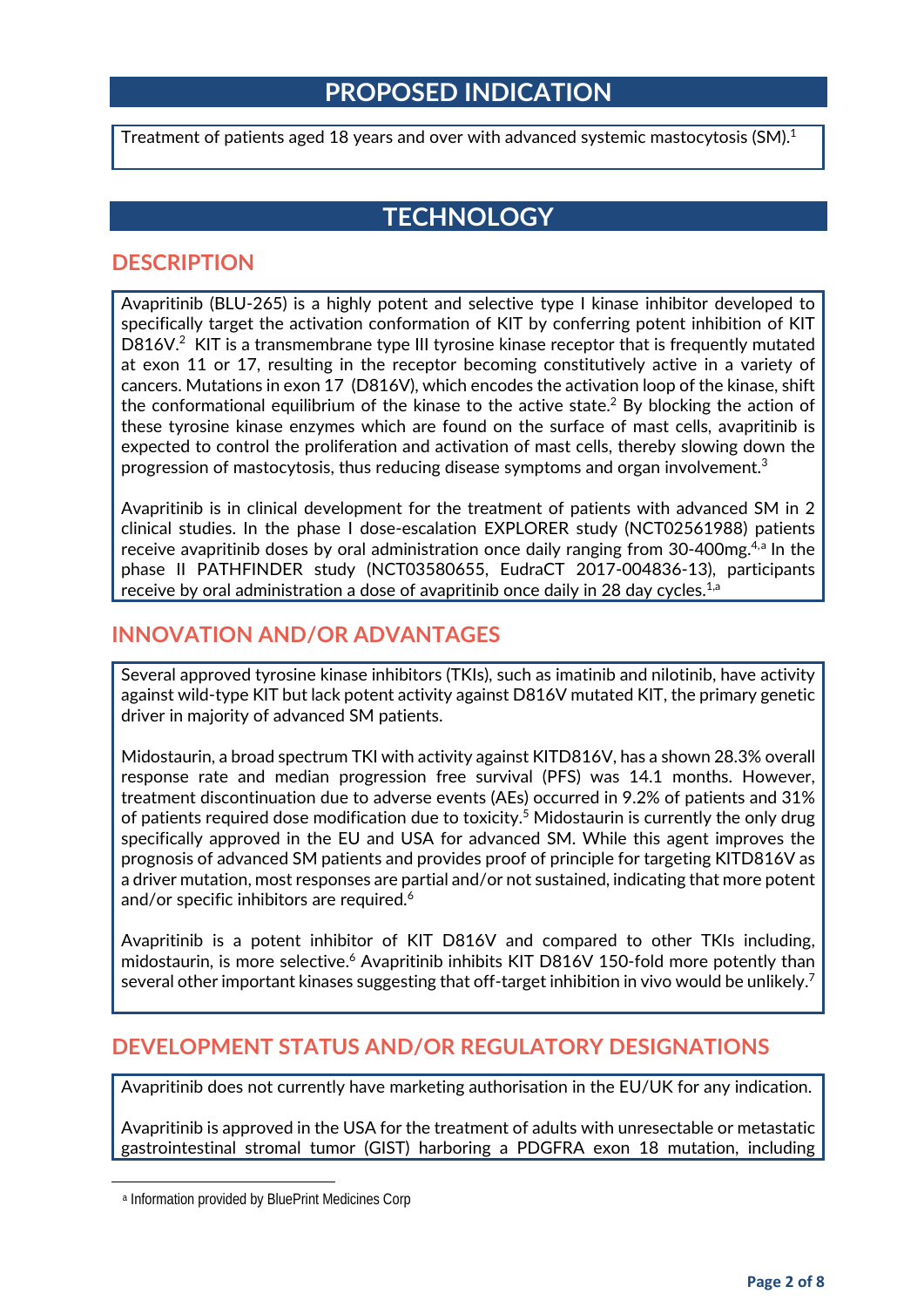## **PROPOSED INDICATION**

Treatment of patients aged 18 years and over with advanced systemic mastocytosis (SM). $^{\rm 1}$ 

## <span id="page-1-0"></span>**TECHNOLOGY**

#### **DESCRIPTION**

Avapritinib (BLU-265) is a highly potent and selective type I kinase inhibitor developed to specifically target the activation conformation of KIT by conferring potent inhibition of KIT D816V.<sup>2</sup> KIT is a transmembrane type III tyrosine kinase receptor that is frequently mutated at exon 11 or 17, resulting in the receptor becoming constitutively active in a variety of cancers. Mutations in exon 17 (D816V), which encodes the activation loop of the kinase, shift the conformational equilibrium of the kinase to the active state.<sup>2</sup> By blocking the action of these tyrosine kinase enzymes which are found on the surface of mast cells, avapritinib is expected to control the proliferation and activation of mast cells, thereby slowing down the progression of mastocytosis, thus reducing disease symptoms and organ involvement. $^3$ 

Avapritinib is in clinical development for the treatment of patients with advanced SM in 2 clinical studies. In the phase I dose-escalation EXPLORER study (NCT02561988) patients receive [a](#page-1-1)vapritinib doses by oral administration once daily ranging from  $30-400$ mg.<sup>4,a</sup> In the phase II PATHFINDER study (NCT03580655, EudraCT 2017-004836-13), participants receive by oral administration a dose of avapritinib once daily in 28 day cycles.<sup>[1,a](#page-1-0)</sup>

#### **INNOVATION AND/OR ADVANTAGES**

Several approved tyrosine kinase inhibitors (TKIs), such as imatinib and nilotinib, have activity against wild-type KIT but lack potent activity against D816V mutated KIT, the primary genetic driver in majority of advanced SM patients.

Midostaurin, a broad spectrum TKI with activity against KITD816V, has a shown 28.3% overall response rate and median progression free survival (PFS) was 14.1 months. However, treatment discontinuation due to adverse events (AEs) occurred in 9.2% of patients and 31% of patients required dose modification due to toxicity. <sup>5</sup> Midostaurin is currently the only drug specifically approved in the EU and USA for advanced SM. While this agent improves the prognosis of advanced SM patients and provides proof of principle for targeting KITD816V as a driver mutation, most responses are partial and/or not sustained, indicating that more potent and/or specific inhibitors are required.<sup>6</sup>

Avapritinib is a potent inhibitor of KIT D816V and compared to other TKIs including, midostaurin, is more selective.<sup>6</sup> Avapritinib inhibits KIT D816V 150-fold more potently than several other important kinases suggesting that off-target inhibition in vivo would be unlikely.<sup>7</sup>

#### **DEVELOPMENT STATUS AND/OR REGULATORY DESIGNATIONS**

Avapritinib does not currently have marketing authorisation in the EU/UK for any indication.

Avapritinib is approved in the USA for the treatment of adults with unresectable or metastatic gastrointestinal stromal tumor (GIST) harboring a PDGFRA exon 18 mutation, including

<span id="page-1-1"></span> $\overline{a}$ 

<sup>a</sup> Information provided by BluePrint Medicines Corp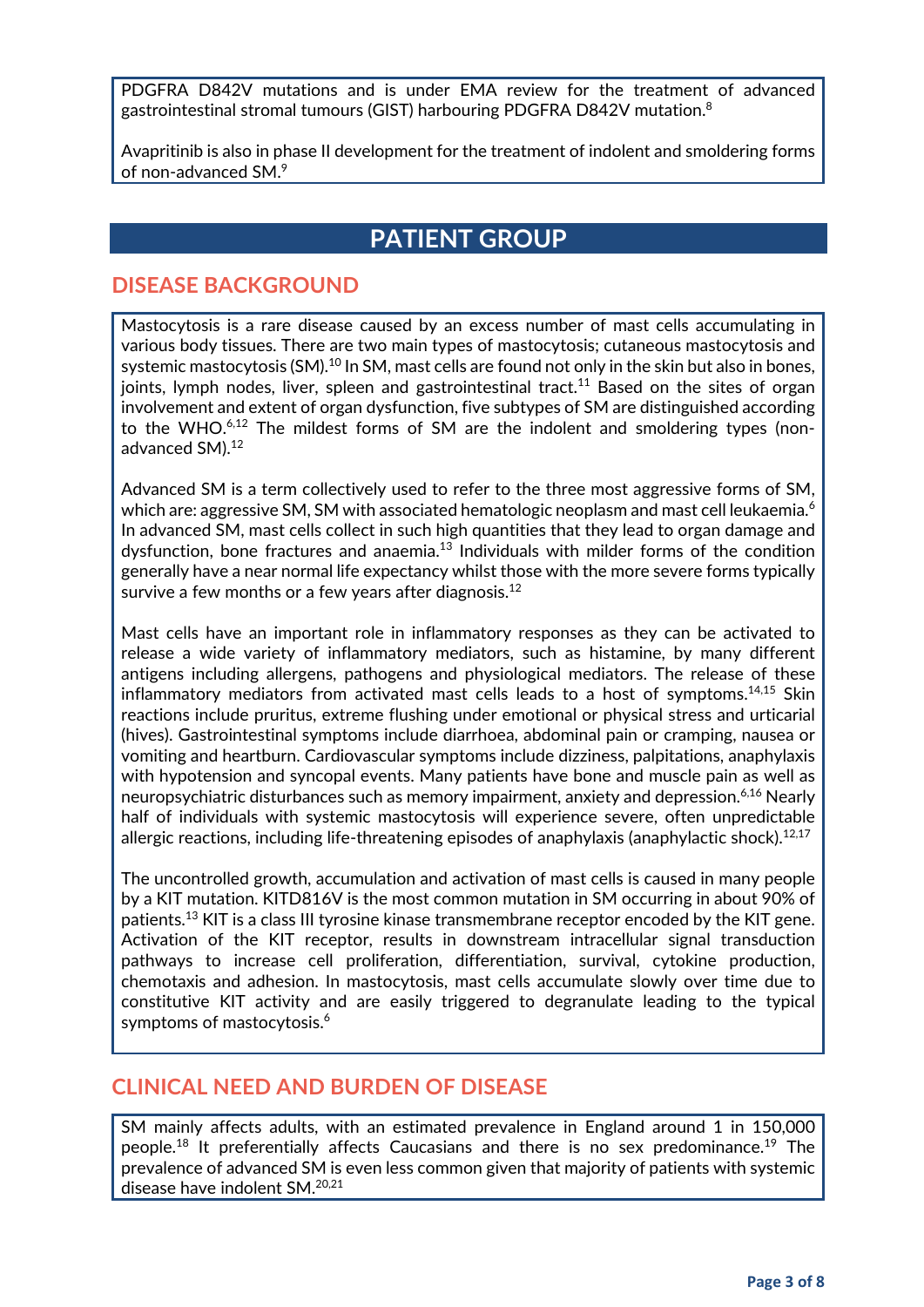PDGFRA D842V mutations and is under EMA review for the treatment of advanced gastrointestinal stromal tumours (GIST) harbouring PDGFRA D842V mutation. $^{\rm 8}$ 

Avapritinib is also in phase II development for the treatment of indolent and smoldering forms of non-advanced SM. 9

## **PATIENT GROUP**

#### **DISEASE BACKGROUND**

Mastocytosis is a rare disease caused by an excess number of mast cells accumulating in various body tissues. There are two main types of mastocytosis; cutaneous mastocytosis and systemic mastocytosis (SM).<sup>10</sup> In SM, mast cells are found not only in the skin but also in bones, joints, lymph nodes, liver, spleen and gastrointestinal tract.<sup>11</sup> Based on the sites of organ involvement and extent of organ dysfunction, five subtypes of SM are distinguished according to the WHO. $6,12$  The mildest forms of SM are the indolent and smoldering types (nonadvanced SM). 12

Advanced SM is a term collectively used to refer to the three most aggressive forms of SM, which are: aggressive SM, SM with associated hematologic neoplasm and mast cell leukaemia. $^6$ In advanced SM, mast cells collect in such high quantities that they lead to organ damage and dysfunction, bone fractures and anaemia.<sup>13</sup> Individuals with milder forms of the condition generally have a near normal life expectancy whilst those with the more severe forms typically survive a few months or a few years after diagnosis.<sup>12</sup>

Mast cells have an important role in inflammatory responses as they can be activated to release a wide variety of inflammatory mediators, such as histamine, by many different antigens including allergens, pathogens and physiological mediators. The release of these inflammatory mediators from activated mast cells leads to a host of symptoms.<sup>14,15</sup> Skin reactions include pruritus, extreme flushing under emotional or physical stress and urticarial (hives). Gastrointestinal symptoms include diarrhoea, abdominal pain or cramping, nausea or vomiting and heartburn. Cardiovascular symptoms include dizziness, palpitations, anaphylaxis with hypotension and syncopal events. Many patients have bone and muscle pain as well as neuropsychiatric disturbances such as memory impairment, anxiety and depression.6,16 Nearly half of individuals with systemic mastocytosis will experience severe, often unpredictable allergic reactions, including life-threatening episodes of anaphylaxis (anaphylactic shock). $^{12,17}$ 

The uncontrolled growth, accumulation and activation of mast cells is caused in many people by a KIT mutation. KITD816V is the most common mutation in SM occurring in about 90% of patients.<sup>13</sup> KIT is a class III tyrosine kinase transmembrane receptor encoded by the KIT gene. Activation of the KIT receptor, results in downstream intracellular signal transduction pathways to increase cell proliferation, differentiation, survival, cytokine production, chemotaxis and adhesion. In mastocytosis, mast cells accumulate slowly over time due to constitutive KIT activity and are easily triggered to degranulate leading to the typical symptoms of mastocytosis.<sup>6</sup>

#### **CLINICAL NEED AND BURDEN OF DISEASE**

SM mainly affects adults, with an estimated prevalence in England around 1 in 150,000 people.<sup>18</sup> It preferentially affects Caucasians and there is no sex predominance.<sup>19</sup> The prevalence of advanced SM is even less common given that majority of patients with systemic disease have indolent SM.20,21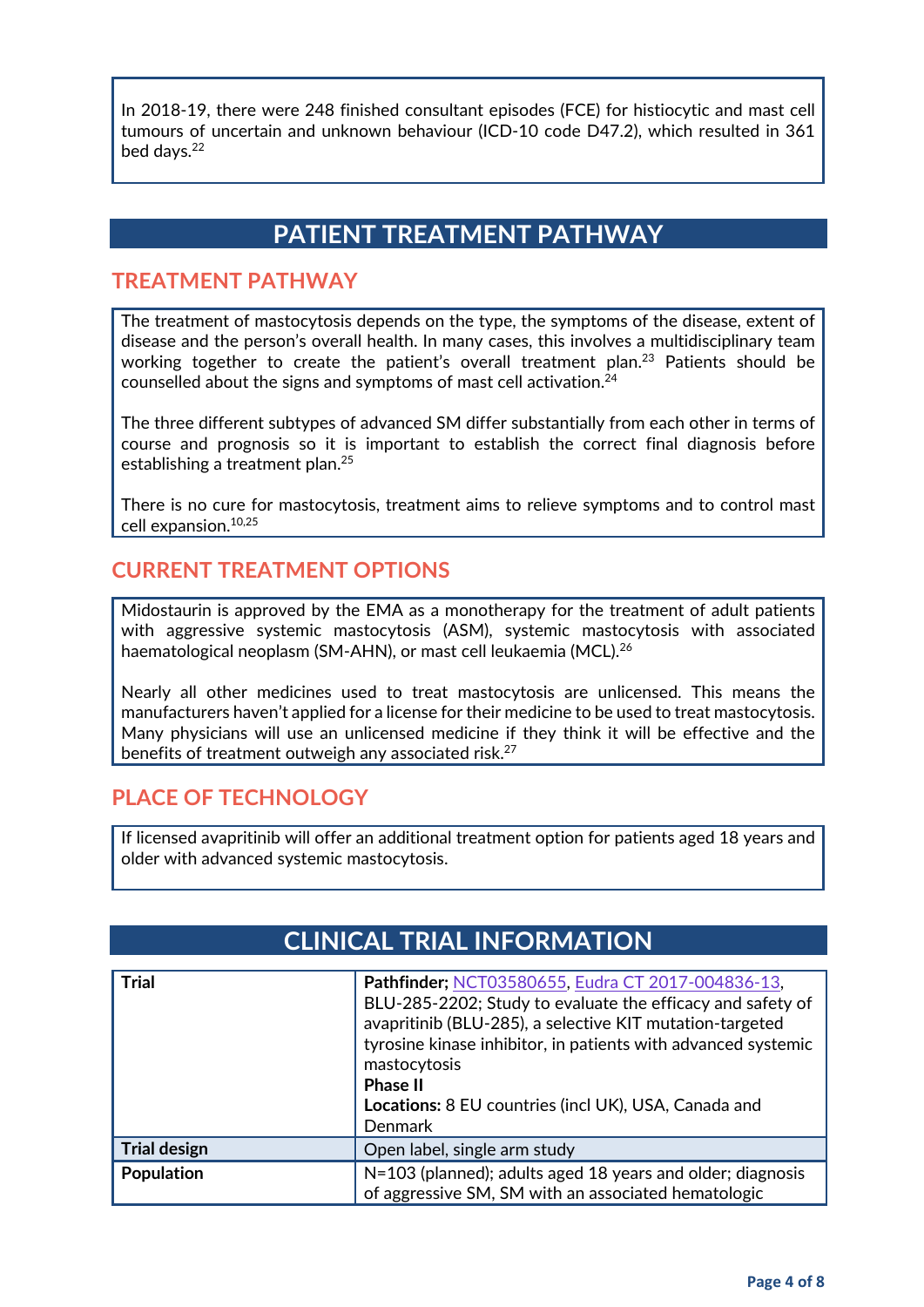In 2018-19, there were 248 finished consultant episodes (FCE) for histiocytic and mast cell tumours of uncertain and unknown behaviour (ICD-10 code D47.2), which resulted in 361 bed days.<sup>22</sup>

## **PATIENT TREATMENT PATHWAY**

#### **TREATMENT PATHWAY**

The treatment of mastocytosis depends on the type, the symptoms of the disease, extent of disease and the person's overall health. In many cases, this involves a multidisciplinary team working together to create the patient's overall treatment plan.23 Patients should be counselled about the signs and symptoms of mast cell activation.24

The three different subtypes of advanced SM differ substantially from each other in terms of course and prognosis so it is important to establish the correct final diagnosis before establishing a treatment plan.25

There is no cure for mastocytosis, treatment aims to relieve symptoms and to control mast cell expansion. 10,25

#### **CURRENT TREATMENT OPTIONS**

Midostaurin is approved by the EMA as a monotherapy for the treatment of adult patients with aggressive systemic mastocytosis (ASM), systemic mastocytosis with associated haematological neoplasm (SM-AHN), or mast cell leukaemia (MCL). 26

Nearly all other medicines used to treat mastocytosis are unlicensed. This means the manufacturers haven't applied for a license for their medicine to be used to treat mastocytosis. Many physicians will use an unlicensed medicine if they think it will be effective and the benefits of treatment outweigh any associated risk.<sup>27</sup>

#### **PLACE OF TECHNOLOGY**

If licensed avapritinib will offer an additional treatment option for patients aged 18 years and older with advanced systemic mastocytosis.

## **CLINICAL TRIAL INFORMATION**

| <b>Trial</b>        | Pathfinder; NCT03580655, Eudra CT 2017-004836-13,<br>BLU-285-2202; Study to evaluate the efficacy and safety of<br>avapritinib (BLU-285), a selective KIT mutation-targeted<br>tyrosine kinase inhibitor, in patients with advanced systemic<br>mastocytosis<br><b>Phase II</b><br>Locations: 8 EU countries (incl UK), USA, Canada and<br>Denmark |
|---------------------|----------------------------------------------------------------------------------------------------------------------------------------------------------------------------------------------------------------------------------------------------------------------------------------------------------------------------------------------------|
| <b>Trial design</b> | Open label, single arm study                                                                                                                                                                                                                                                                                                                       |
| Population          | N=103 (planned); adults aged 18 years and older; diagnosis<br>of aggressive SM, SM with an associated hematologic                                                                                                                                                                                                                                  |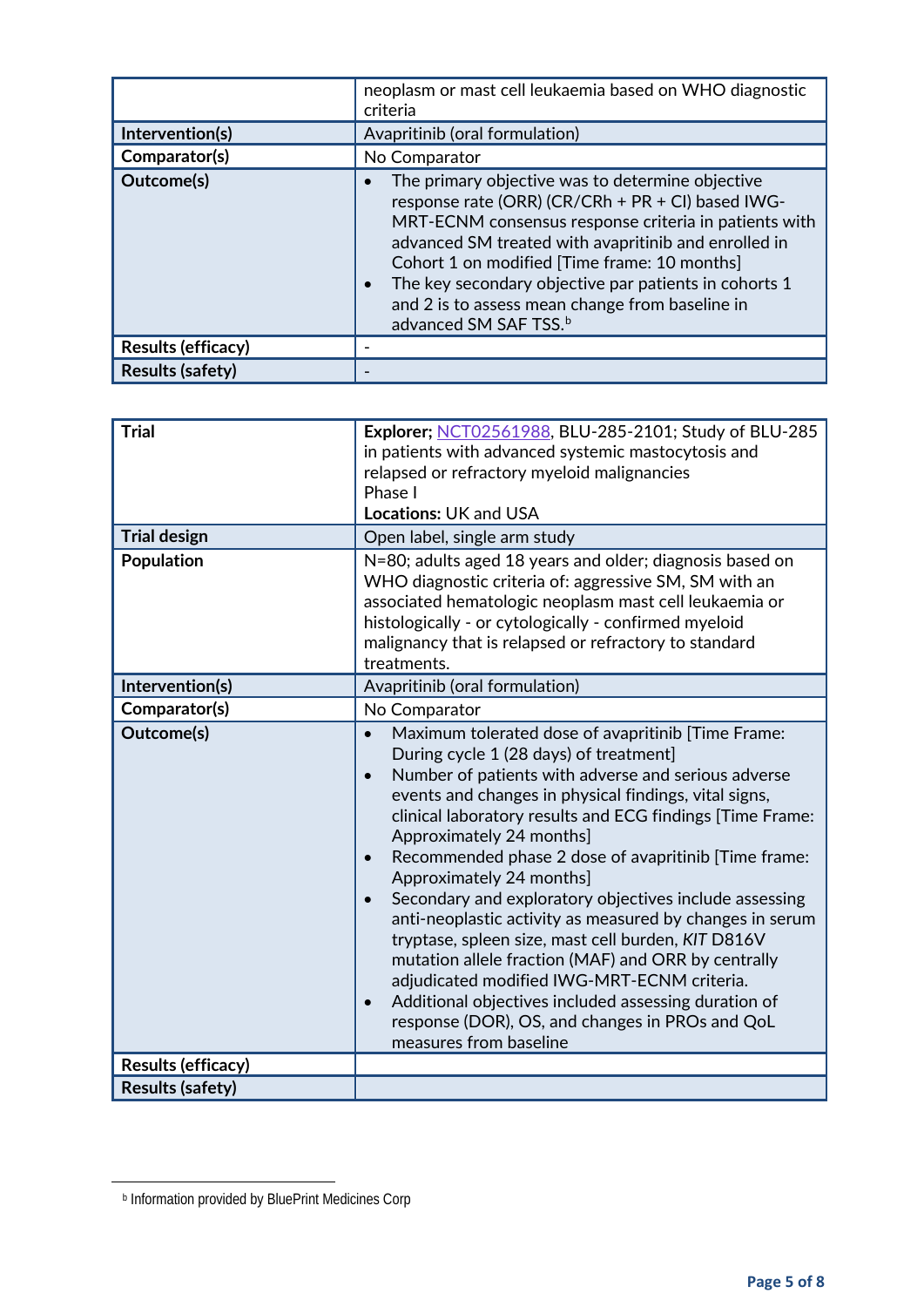| Intervention(s)<br>Comparator(s) | neoplasm or mast cell leukaemia based on WHO diagnostic<br>criteria<br>Avapritinib (oral formulation)<br>No Comparator                                                                                                                                                                                                                                                                                                  |
|----------------------------------|-------------------------------------------------------------------------------------------------------------------------------------------------------------------------------------------------------------------------------------------------------------------------------------------------------------------------------------------------------------------------------------------------------------------------|
| Outcome(s)                       | The primary objective was to determine objective<br>response rate (ORR) (CR/CRh + PR + CI) based IWG-<br>MRT-ECNM consensus response criteria in patients with<br>advanced SM treated with avapritinib and enrolled in<br>Cohort 1 on modified [Time frame: 10 months]<br>The key secondary objective par patients in cohorts 1<br>and 2 is to assess mean change from baseline in<br>advanced SM SAF TSS. <sup>b</sup> |
| <b>Results (efficacy)</b>        |                                                                                                                                                                                                                                                                                                                                                                                                                         |
| <b>Results (safety)</b>          |                                                                                                                                                                                                                                                                                                                                                                                                                         |

| <b>Trial</b><br><b>Trial design</b> | Explorer; NCT02561988, BLU-285-2101; Study of BLU-285<br>in patients with advanced systemic mastocytosis and<br>relapsed or refractory myeloid malignancies<br>Phase I<br><b>Locations: UK and USA</b><br>Open label, single arm study                                                                                                                                                                                                                                                                                                                                                                                                                                                                                                                                                                                        |
|-------------------------------------|-------------------------------------------------------------------------------------------------------------------------------------------------------------------------------------------------------------------------------------------------------------------------------------------------------------------------------------------------------------------------------------------------------------------------------------------------------------------------------------------------------------------------------------------------------------------------------------------------------------------------------------------------------------------------------------------------------------------------------------------------------------------------------------------------------------------------------|
| <b>Population</b>                   | N=80; adults aged 18 years and older; diagnosis based on<br>WHO diagnostic criteria of: aggressive SM, SM with an<br>associated hematologic neoplasm mast cell leukaemia or<br>histologically - or cytologically - confirmed myeloid<br>malignancy that is relapsed or refractory to standard<br>treatments.                                                                                                                                                                                                                                                                                                                                                                                                                                                                                                                  |
| Intervention(s)                     | Avapritinib (oral formulation)                                                                                                                                                                                                                                                                                                                                                                                                                                                                                                                                                                                                                                                                                                                                                                                                |
| Comparator(s)                       | No Comparator                                                                                                                                                                                                                                                                                                                                                                                                                                                                                                                                                                                                                                                                                                                                                                                                                 |
| Outcome(s)                          | Maximum tolerated dose of avapritinib [Time Frame:<br>$\bullet$<br>During cycle 1 (28 days) of treatment]<br>Number of patients with adverse and serious adverse<br>events and changes in physical findings, vital signs,<br>clinical laboratory results and ECG findings [Time Frame:<br>Approximately 24 months]<br>Recommended phase 2 dose of avapritinib [Time frame:<br>Approximately 24 months]<br>Secondary and exploratory objectives include assessing<br>anti-neoplastic activity as measured by changes in serum<br>tryptase, spleen size, mast cell burden, KIT D816V<br>mutation allele fraction (MAF) and ORR by centrally<br>adjudicated modified IWG-MRT-ECNM criteria.<br>Additional objectives included assessing duration of<br>response (DOR), OS, and changes in PROs and QoL<br>measures from baseline |
| <b>Results (efficacy)</b>           |                                                                                                                                                                                                                                                                                                                                                                                                                                                                                                                                                                                                                                                                                                                                                                                                                               |
| <b>Results (safety)</b>             |                                                                                                                                                                                                                                                                                                                                                                                                                                                                                                                                                                                                                                                                                                                                                                                                                               |

<span id="page-4-0"></span> $\overline{a}$ 

<sup>b</sup> Information provided by BluePrint Medicines Corp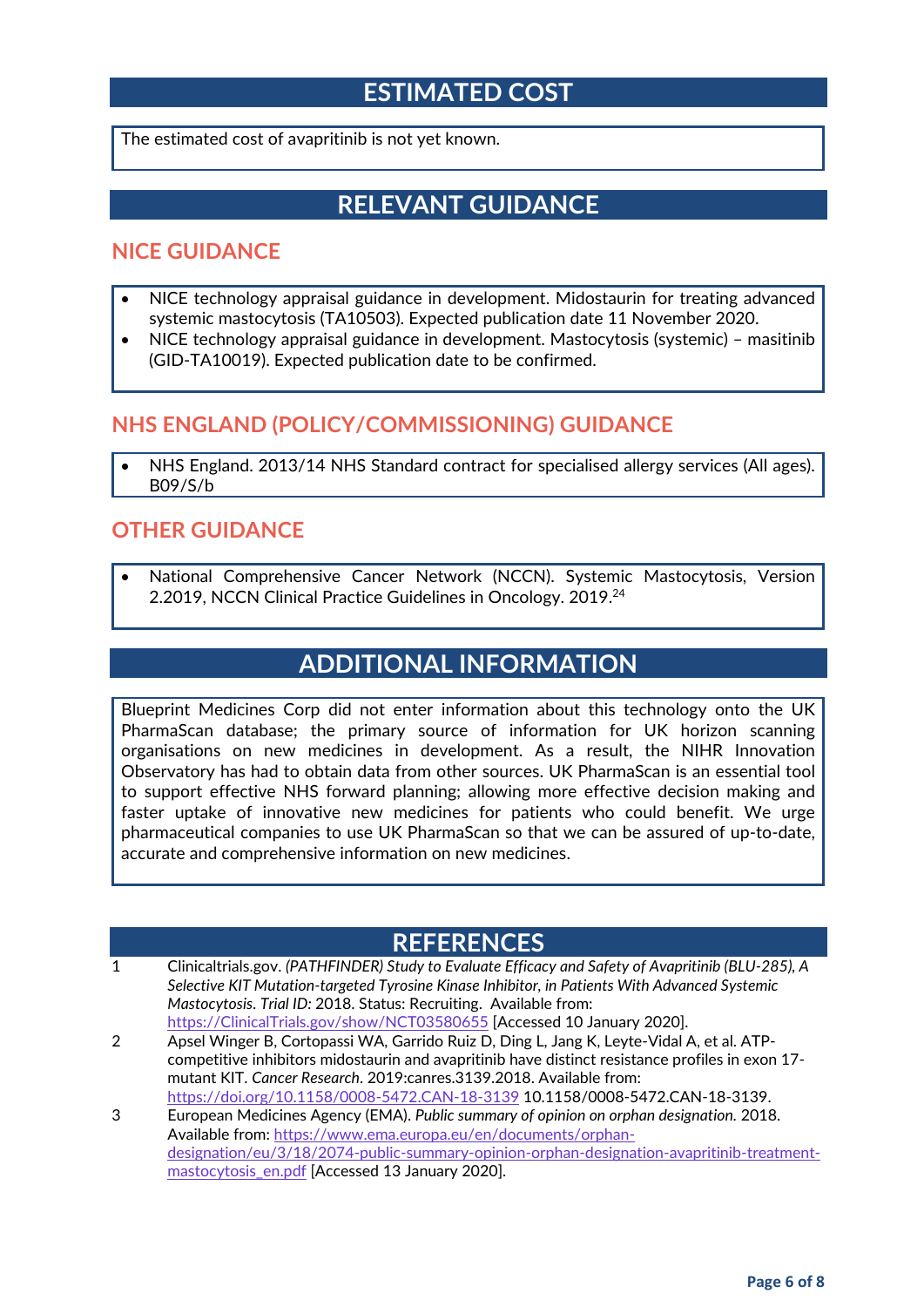## **ESTIMATED COST**

The estimated cost of avapritinib is not yet known.

## **RELEVANT GUIDANCE**

#### **NICE GUIDANCE**

- NICE technology appraisal guidance in development. Midostaurin for treating advanced systemic mastocytosis (TA10503). Expected publication date 11 November 2020.
- NICE technology appraisal guidance in development. Mastocytosis (systemic) masitinib (GID-TA10019). Expected publication date to be confirmed.

#### **NHS ENGLAND (POLICY/COMMISSIONING) GUIDANCE**

• NHS England. 2013/14 NHS Standard contract for specialised allergy services (All ages). B09/S/b

#### **OTHER GUIDANCE**

• National Comprehensive Cancer Network (NCCN). Systemic Mastocytosis, Version 2.2019, NCCN Clinical Practice Guidelines in Oncology. 2019.<sup>24</sup>

## **ADDITIONAL INFORMATION**

Blueprint Medicines Corp did not enter information about this technology onto the UK PharmaScan database; the primary source of information for UK horizon scanning organisations on new medicines in development. As a result, the NIHR Innovation Observatory has had to obtain data from other sources. UK PharmaScan is an essential tool to support effective NHS forward planning; allowing more effective decision making and faster uptake of innovative new medicines for patients who could benefit. We urge pharmaceutical companies to use UK PharmaScan so that we can be assured of up-to-date, accurate and comprehensive information on new medicines.

#### **REFERENCES**

- 1 Clinicaltrials.gov. *(PATHFINDER) Study to Evaluate Efficacy and Safety of Avapritinib (BLU-285), A Selective KIT Mutation-targeted Tyrosine Kinase Inhibitor, in Patients With Advanced Systemic Mastocytosis*. *Trial ID:* 2018. Status: Recruiting. Available from: [https://ClinicalTrials.gov/show/NCT03580655](https://clinicaltrials.gov/show/NCT03580655) [Accessed 10 January 2020].
- 2 Apsel Winger B, Cortopassi WA, Garrido Ruiz D, Ding L, Jang K, Leyte-Vidal A, et al. ATPcompetitive inhibitors midostaurin and avapritinib have distinct resistance profiles in exon 17 mutant KIT. *Cancer Research*. 2019:canres.3139.2018. Available from: <https://doi.org/10.1158/0008-5472.CAN-18-3139> 10.1158/0008-5472.CAN-18-3139.
- 3 European Medicines Agency (EMA). *Public summary of opinion on orphan designation.* 2018. Available from: [https://www.ema.europa.eu/en/documents/orphan](https://www.ema.europa.eu/en/documents/orphan-designation/eu/3/18/2074-public-summary-opinion-orphan-designation-avapritinib-treatment-mastocytosis_en.pdf)[designation/eu/3/18/2074-public-summary-opinion-orphan-designation-avapritinib-treatment](https://www.ema.europa.eu/en/documents/orphan-designation/eu/3/18/2074-public-summary-opinion-orphan-designation-avapritinib-treatment-mastocytosis_en.pdf)[mastocytosis\\_en.pdf](https://www.ema.europa.eu/en/documents/orphan-designation/eu/3/18/2074-public-summary-opinion-orphan-designation-avapritinib-treatment-mastocytosis_en.pdf) [Accessed 13 January 2020].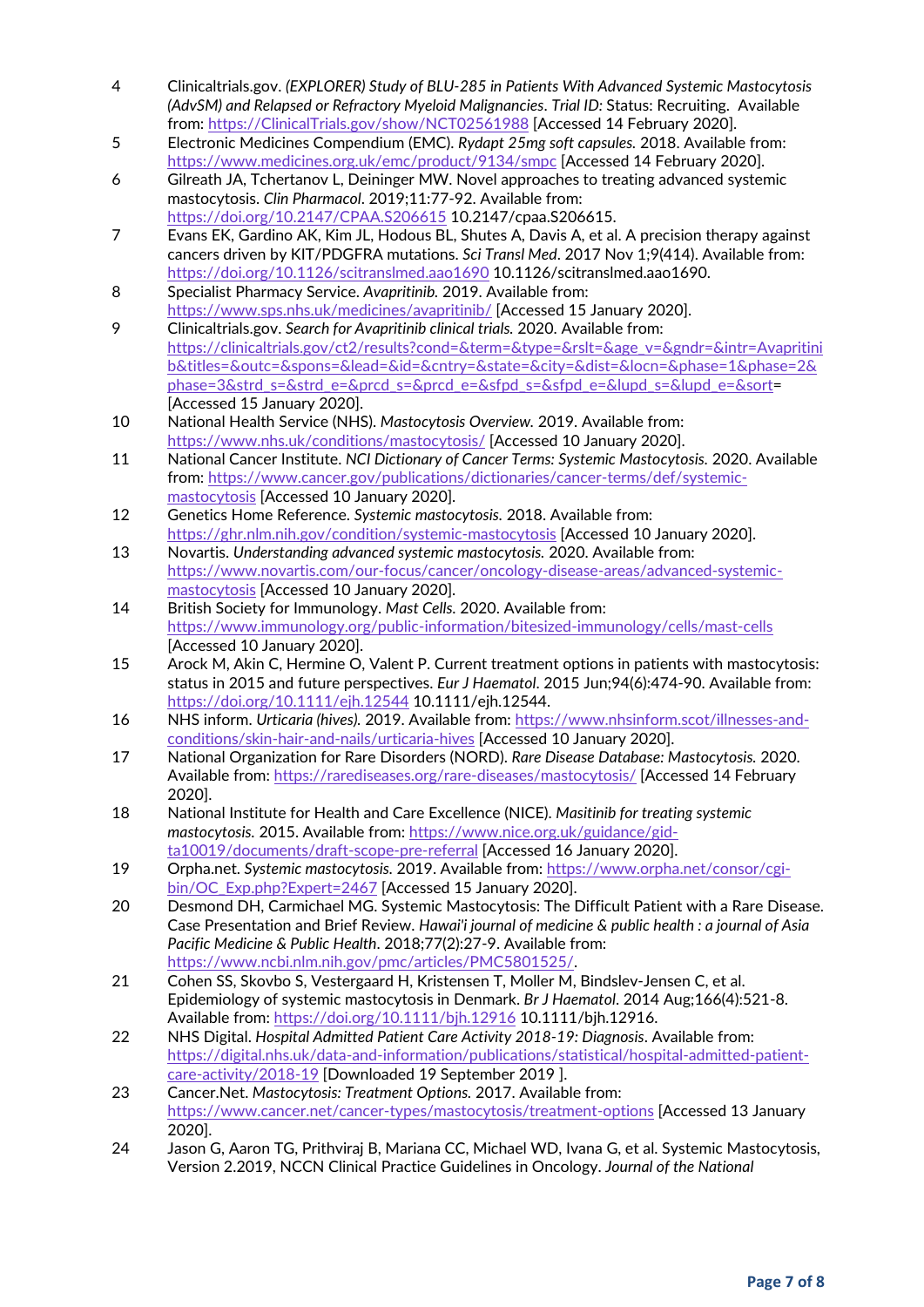- 4 Clinicaltrials.gov. *(EXPLORER) Study of BLU-285 in Patients With Advanced Systemic Mastocytosis (AdvSM) and Relapsed or Refractory Myeloid Malignancies*. *Trial ID:* Status: Recruiting. Available from: [https://ClinicalTrials.gov/show/NCT02561988](https://clinicaltrials.gov/show/NCT02561988) [Accessed 14 February 2020].
- 5 Electronic Medicines Compendium (EMC). *Rydapt 25mg soft capsules.* 2018. Available from: <https://www.medicines.org.uk/emc/product/9134/smpc> [Accessed 14 February 2020].
- 6 Gilreath JA, Tchertanov L, Deininger MW. Novel approaches to treating advanced systemic mastocytosis. *Clin Pharmacol*. 2019;11:77-92. Available from: <https://doi.org/10.2147/CPAA.S206615> 10.2147/cpaa.S206615.
- 7 Evans EK, Gardino AK, Kim JL, Hodous BL, Shutes A, Davis A, et al. A precision therapy against cancers driven by KIT/PDGFRA mutations. *Sci Transl Med*. 2017 Nov 1;9(414). Available from: <https://doi.org/10.1126/scitranslmed.aao1690> 10.1126/scitranslmed.aao1690.
- 8 Specialist Pharmacy Service. *Avapritinib.* 2019. Available from: <https://www.sps.nhs.uk/medicines/avapritinib/> [Accessed 15 January 2020].
- 9 Clinicaltrials.gov. *Search for Avapritinib clinical trials.* 2020. Available from: [https://clinicaltrials.gov/ct2/results?cond=&term=&type=&rslt=&age\\_v=&gndr=&intr=Avapritini](https://clinicaltrials.gov/ct2/results?cond=&term=&type=&rslt=&age_v=&gndr=&intr=Avapritinib&titles=&outc=&spons=&lead=&id=&cntry=&state=&city=&dist=&locn=&phase=1&phase=2&phase=3&strd_s=&strd_e=&prcd_s=&prcd_e=&sfpd_s=&sfpd_e=&lupd_s=&lupd_e=&sort) [b&titles=&outc=&spons=&lead=&id=&cntry=&state=&city=&dist=&locn=&phase=1&phase=2&](https://clinicaltrials.gov/ct2/results?cond=&term=&type=&rslt=&age_v=&gndr=&intr=Avapritinib&titles=&outc=&spons=&lead=&id=&cntry=&state=&city=&dist=&locn=&phase=1&phase=2&phase=3&strd_s=&strd_e=&prcd_s=&prcd_e=&sfpd_s=&sfpd_e=&lupd_s=&lupd_e=&sort) [phase=3&strd\\_s=&strd\\_e=&prcd\\_s=&prcd\\_e=&sfpd\\_s=&sfpd\\_e=&lupd\\_s=&lupd\\_e=&sort=](https://clinicaltrials.gov/ct2/results?cond=&term=&type=&rslt=&age_v=&gndr=&intr=Avapritinib&titles=&outc=&spons=&lead=&id=&cntry=&state=&city=&dist=&locn=&phase=1&phase=2&phase=3&strd_s=&strd_e=&prcd_s=&prcd_e=&sfpd_s=&sfpd_e=&lupd_s=&lupd_e=&sort) [Accessed 15 January 2020].
- 10 National Health Service (NHS). *Mastocytosis Overview.* 2019. Available from: <https://www.nhs.uk/conditions/mastocytosis/> [Accessed 10 January 2020].
- 11 National Cancer Institute. *NCI Dictionary of Cancer Terms: Systemic Mastocytosis.* 2020. Available from: [https://www.cancer.gov/publications/dictionaries/cancer-terms/def/systemic](https://www.cancer.gov/publications/dictionaries/cancer-terms/def/systemic-mastocytosis)[mastocytosis](https://www.cancer.gov/publications/dictionaries/cancer-terms/def/systemic-mastocytosis) [Accessed 10 January 2020].
- 12 Genetics Home Reference. *Systemic mastocytosis.* 2018. Available from: <https://ghr.nlm.nih.gov/condition/systemic-mastocytosis> [Accessed 10 January 2020].
- 13 Novartis. *Understanding advanced systemic mastocytosis.* 2020. Available from: [https://www.novartis.com/our-focus/cancer/oncology-disease-areas/advanced-systemic](https://www.novartis.com/our-focus/cancer/oncology-disease-areas/advanced-systemic-mastocytosis)[mastocytosis](https://www.novartis.com/our-focus/cancer/oncology-disease-areas/advanced-systemic-mastocytosis) [Accessed 10 January 2020].
- 14 British Society for Immunology. *Mast Cells.* 2020. Available from: <https://www.immunology.org/public-information/bitesized-immunology/cells/mast-cells> [Accessed 10 January 2020].
- 15 Arock M, Akin C, Hermine O, Valent P. Current treatment options in patients with mastocytosis: status in 2015 and future perspectives. *Eur J Haematol*. 2015 Jun;94(6):474-90. Available from: <https://doi.org/10.1111/ejh.12544> 10.1111/ejh.12544.
- 16 NHS inform. *Urticaria (hives).* 2019. Available from: [https://www.nhsinform.scot/illnesses-and](https://www.nhsinform.scot/illnesses-and-conditions/skin-hair-and-nails/urticaria-hives)[conditions/skin-hair-and-nails/urticaria-hives](https://www.nhsinform.scot/illnesses-and-conditions/skin-hair-and-nails/urticaria-hives) [Accessed 10 January 2020].
- 17 National Organization for Rare Disorders (NORD). *Rare Disease Database: Mastocytosis.* 2020. Available from:<https://rarediseases.org/rare-diseases/mastocytosis/> [Accessed 14 February 2020].
- 18 National Institute for Health and Care Excellence (NICE). *Masitinib for treating systemic mastocytosis.* 2015. Available from[: https://www.nice.org.uk/guidance/gid](https://www.nice.org.uk/guidance/gid-ta10019/documents/draft-scope-pre-referral)[ta10019/documents/draft-scope-pre-referral](https://www.nice.org.uk/guidance/gid-ta10019/documents/draft-scope-pre-referral) [Accessed 16 January 2020].
- 19 Orpha.net. *Systemic mastocytosis.* 2019. Available from: [https://www.orpha.net/consor/cgi](https://www.orpha.net/consor/cgi-bin/OC_Exp.php?Expert=2467)[bin/OC\\_Exp.php?Expert=2467](https://www.orpha.net/consor/cgi-bin/OC_Exp.php?Expert=2467) [Accessed 15 January 2020].
- 20 Desmond DH, Carmichael MG. Systemic Mastocytosis: The Difficult Patient with a Rare Disease. Case Presentation and Brief Review. *Hawai'i journal of medicine & public health : a journal of Asia Pacific Medicine & Public Health*. 2018;77(2):27-9. Available from: [https://www.ncbi.nlm.nih.gov/pmc/articles/PMC5801525/.](https://www.ncbi.nlm.nih.gov/pmc/articles/PMC5801525/)
- 21 Cohen SS, Skovbo S, Vestergaard H, Kristensen T, Moller M, Bindslev-Jensen C, et al. Epidemiology of systemic mastocytosis in Denmark. *Br J Haematol*. 2014 Aug;166(4):521-8. Available from:<https://doi.org/10.1111/bjh.12916> 10.1111/bjh.12916.
- 22 NHS Digital. *Hospital Admitted Patient Care Activity 2018-19: Diagnosis*. Available from: [https://digital.nhs.uk/data-and-information/publications/statistical/hospital-admitted-patient](https://digital.nhs.uk/data-and-information/publications/statistical/hospital-admitted-patient-care-activity/2018-19)[care-activity/2018-19](https://digital.nhs.uk/data-and-information/publications/statistical/hospital-admitted-patient-care-activity/2018-19) [Downloaded 19 September 2019 ].
- 23 Cancer.Net. *Mastocytosis: Treatment Options.* 2017. Available from: <https://www.cancer.net/cancer-types/mastocytosis/treatment-options> [Accessed 13 January 2020].
- 24 Jason G, Aaron TG, Prithviraj B, Mariana CC, Michael WD, Ivana G, et al. Systemic Mastocytosis, Version 2.2019, NCCN Clinical Practice Guidelines in Oncology. *Journal of the National*